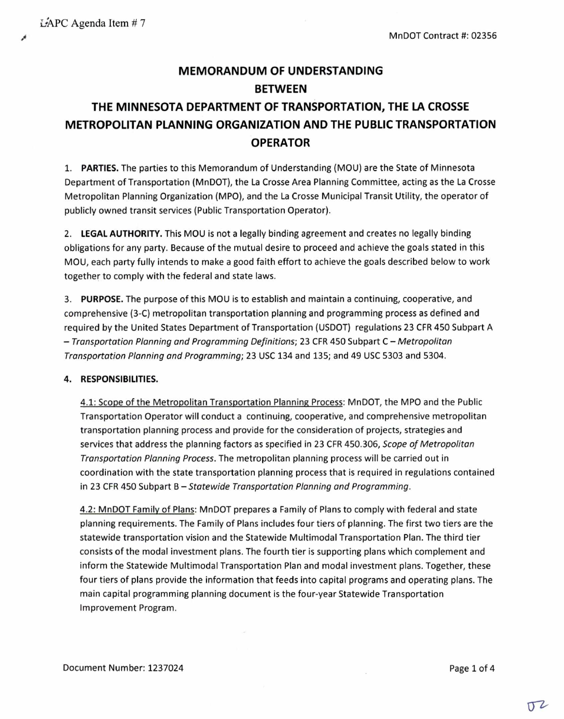# **MEMORANDUM OF UNDERSTANDING BETWEEN THE MINNESOTA DEPARTMENT OF TRANSPORTATION, THE LA CROSSE METROPOLITAN PLANNING ORGANIZATION AND THE PUBLIC TRANSPORTATION OPERATOR**

**1. PARTIES.** The parties to this Memorandum of Understanding (MOU) are the State of Minnesota Department of Transportation (MnDOT), the La Crosse Area Planning Committee, acting as the La Crosse Metropolitan Planning Organization (MPO), and the La Crosse Municipal Transit Utility, the operator of publicly owned transit services (Public Transportation Operator).

**2. LEGAL AUTHORITY.** This MOU is not a legally binding agreement and creates no legally binding obligations for any party. Because of the mutual desire to proceed and achieve the goals stated in this MOU, each party fully intends to make a good faith effort to achieve the goals described below to work together to comply with the federal and state laws.

**3. PURPOSE.** The purpose of this MOU is to establish and maintain a continuing, cooperative, and comprehensive (3-C) metropolitan transportation planning and programming process as defined and required by the United States Department of Transportation (USDOT) regulations 23 CFR 450 Subpart A — Transportation Planning and Programming Definitions; 23 CFR 450 Subpart C — Metropolitan Transportation Planning and Programming; 23 USC 134 and 135; and 49 USC 5303 and 5304.

### **4. RESPONSIBILITIES.**

4.1: Scope of the Metropolitan Transportation Planning Process: MnDOT, the MPO and the Public Transportation Operator will conduct a continuing, cooperative, and comprehensive metropolitan transportation planning process and provide for the consideration of projects, strategies and services that address the planning factors as specified in 23 CFR 450.306, Scope of Metropolitan Transportation Planning Process. The metropolitan planning process will be carried out in coordination with the state transportation planning process that is required in regulations contained in 23 CFR 450 Subpart  $B -$ Statewide Transportation Planning and Programming.

4.2: MnDOT Family of Plans: MnDOT prepares a Family of Plans to comply with federal and state planning requirements. The Family of Plans includes four tiers of planning. The first two tiers are the statewide transportation vision and the Statewide Multimodal Transportation Plan. The third tier consists of the modal investment plans. The fourth tier is supporting plans which complement and inform the Statewide Multimodal Transportation Plan and modal investment plans. Together, these four tiers of plans provide the information that feeds into capital programs and operating plans. The main capital programming planning document is the four-year Statewide Transportation Improvement Program.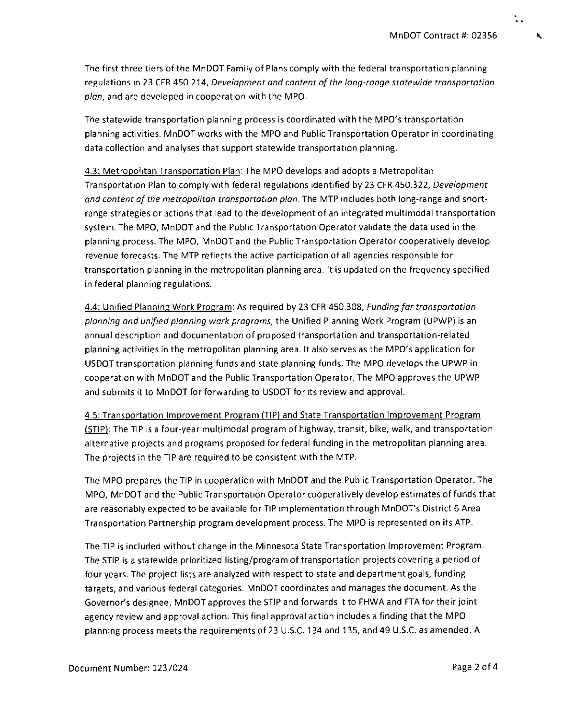The first three tiers of the MnDOT Family of Plans comply with the federal transportation planning regulations in 23 CFR 450.214, Development and content of the long-range statewide transportation plan, and are developed in cooperation with the MPO.

The statewide transportation planning process is coordinated with the MPO's transportation planning activities. MnDOT works with the MPO and Public Transportation Operator in coordinating data collection and analyses that support statewide transportation planning.

4.3: Metropolitan Transportation Plan: The MPO develops and adopts a Metropolitan Transportation Plan to comply with federal regulations identified by 23 CFR 450.322, Development and content of the metropolitan transportation plan. The MTP includes both long-range and shortrange strategies or actions that lead to the development of an integrated multimodal transportation system. The MPO, MnDOT and the Public Transportation Operator validate the data used in the planning process. The MPO, MnDOT and the Public Transportation Operator cooperatively develop revenue forecasts. The MTP reflects the active participation of all agencies responsible for transportation planning in the metropolitan planning area. It is updated on the frequency specified in federal planning regulations.

4.4: Unified Planning Work Program: As required by 23 CFR 450.308, Funding for transportation planning and unified planning work programs, the Unified Planning Work Program (UPWP) is an annual description and documentation of proposed transportation and transportation-related planning activities in the metropolitan planning area. It also serves as the MPO's application for USDOT transportation planning funds and state planning funds. The MPO develops the UPWP in cooperation with MnDOT and the Public Transportation Operator. The MPO approves the UPWP and submits it to MnDOT for forwarding to USDOT for its review and approval.

4.5: Transportation Improvement Program (TIP) and State Transportation Improvement Program (STIP): The TIP is a four-year multimodal program of highway, transit, bike, walk, and transportation alternative projects and programs proposed for federal funding in the metropolitan planning area. The projects in the TIP are required to be consistent with the MTP.

The MPO prepares the TIP in cooperation with MnDOT and the Public Transportation Operator. The MPO, MnDOT and the Public Transportation Operator cooperatively develop estimates of funds that are reasonably expected to be available for TIP implementation through MnDOT's District 6 Area Transportation Partnership program development process. The MPO is represented on its ATP.

The TIP is included without change in the Minnesota State Transportation Improvement Program. The STIP is a statewide prioritized listing/program of transportation projects covering a period of four years. The project lists are analyzed with respect to state and department goals, funding targets, and various federal categories. MnDOT coordinates and manages the document. As the Governor's designee, MnDOT approves the STIP and forwards it to FHWA and FTA for their joint agency review and approval action. This final approval action includes a finding that the MPO planning process meets the requirements of 23 U.S.C. 134 and 135, and 49 U.S.C. as amended. A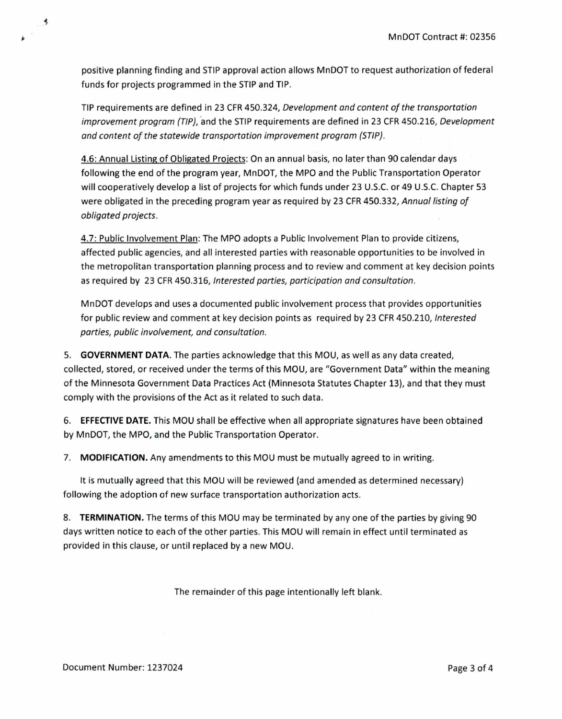positive planning finding and STIP approval action allows MnDOT to request authorization of federal funds for projects programmed in the STIP and TIP.

TIP requirements are defined in 23 CFR 450.324, Development and content of the transportation improvement program (TIP), and the STIP requirements are defined in 23 CFR 450.216, Development and content of the statewide transportation improvement program (STIP).

4.6: Annual Listing of Obligated Projects: On an annual basis, no later than 90 calendar days following the end of the program year, MnDOT, the MPO and the Public Transportation Operator will cooperatively develop a list of projects for which funds under 23 U.S.C. or 49 U.S.C. Chapter 53 were obligated in the preceding program year as required by 23 CFR 450.332, Annual listing of obligated projects.

4.7: Public Involvement Plan: The MPO adopts a Public Involvement Plan to provide citizens, affected public agencies, and all interested parties with reasonable opportunities to be involved in the metropolitan transportation planning process and to review and comment at key decision points as required by 23 CFR 450.316, Interested parties, participation and consultation.

MnDOT develops and uses a documented public involvement process that provides opportunities for public review and comment at key decision points as required by 23 CFR 450.210, Interested parties, public involvement, and consultation.

**5. GOVERNMENT DATA.** The parties acknowledge that this MOU, as well as any data created, collected, stored, or received under the terms of this MOU, are "Government Data" within the meaning of the Minnesota Government Data Practices Act (Minnesota Statutes Chapter 13), and that they must comply with the provisions of the Act as it related to such data.

**6. EFFECTIVE DATE.** This MOU shall be effective when all appropriate signatures have been obtained by MnDOT, the MPO, and the Public Transportation Operator.

**7. MODIFICATION.** Any amendments to this MOU must be mutually agreed to in writing.

It is mutually agreed that this MOU will be reviewed (and amended as determined necessary) following the adoption of new surface transportation authorization acts.

**8. TERMINATION.** The terms of this MOU may be terminated by any one of the parties by giving 90 days written notice to each of the other parties. This MOU will remain in effect until terminated as provided in this clause, or until replaced by a new MOU.

The remainder of this page intentionally left blank.

 $\rightarrow$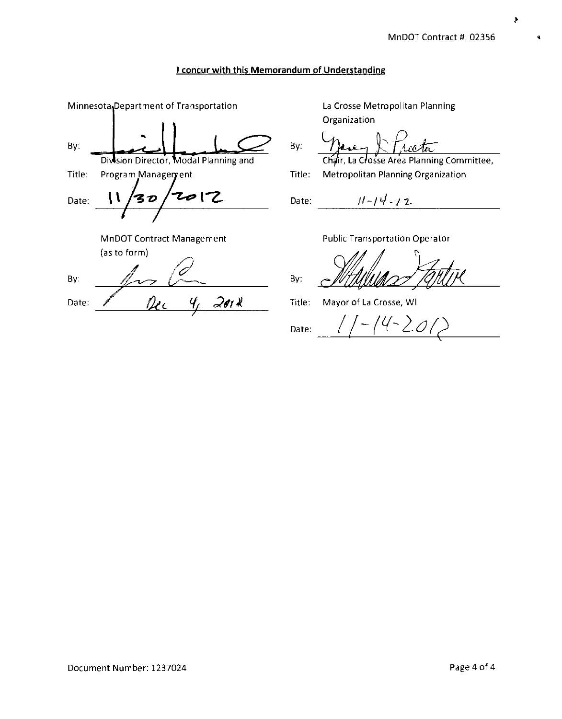و

### **I concur with this Memorandum of Understanding**

Date: MnDOT Contract Management (as to form) Minnesota Department of Transportation By: Diwsion Director, Modal Planning and Title: Program Management By: Date: <u>*Pec 4, 2012*</u>

La Crosse Metropolitan Planning Organization

By:

Chair, La Crosse Area Planning Committee,

Title: Metropolitan Planning Organization

 $11 - 14 - 12$ Date:

Public Transportation Operator

By:

Title: Mayor of La Crosse, WI

 $11 - 14 - 201$ Date:

Document Number: 1237024 Page 4 of 4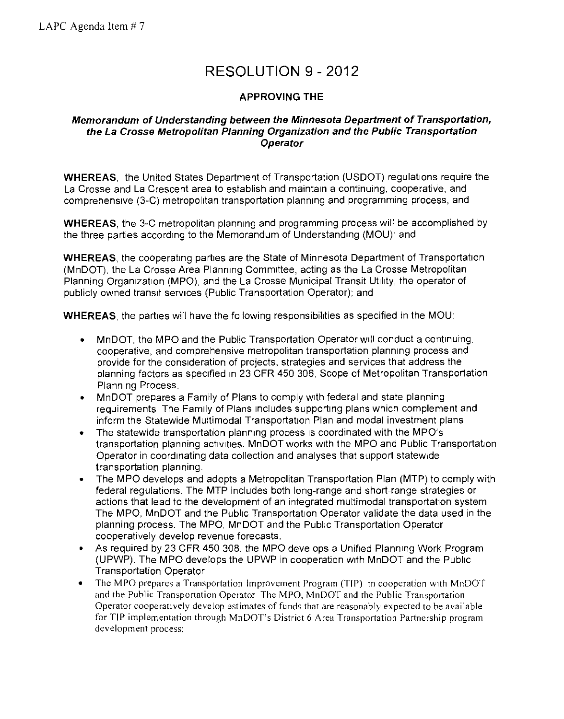# RESOLUTION 9 - 2012

## **APPROVING THE**

## **Memorandum of Understanding between the Minnesota Department of Transportation, the La Crosse Metropolitan Planning Organization and the Public Transportation Operator**

**WHEREAS,** the United States Department of Transportation (USDOT) regulations require the La Crosse and La Crescent area to establish and maintain a continuing, cooperative, and comprehensive (3-C) metropolitan transportation planning and programming process, and

**WHEREAS,** the 3-C metropolitan planning and programming process will be accomplished by the three parties according to the Memorandum of Understanding (MOU); and

**WHEREAS,** the cooperating parties are the State of Minnesota Department of Transportation (MnDOT), the La Crosse Area Planning Committee, acting as the La Crosse Metropolitan Planning Organization (MPO), and the La Crosse Municipal Transit Utility, the operator of publicly owned transit services (Public Transportation Operator); and

**WHEREAS,** the parties will have the following responsibilities as specified in the MOU:

- MnDOT, the MPO and the Public Transportation Operator will conduct a continuing, cooperative, and comprehensive metropolitan transportation planning process and provide for the consideration of projects, strategies and services that address the planning factors as specified in 23 CFR 450 306, Scope of Metropolitan Transportation Planning Process.
- MnDOT prepares a Family of Plans to comply with federal and state planning requirements The Family of Plans includes supporting plans which complement and inform the Statewide Multimodal Transportation Plan and modal investment plans
- The statewide transportation planning process is coordinated with the MPO's transportation planning activities. MnDOT works with the MPO and Public Transportation Operator in coordinating data collection and analyses that support statewide transportation planning.
- The MPO develops and adopts a Metropolitan Transportation Plan (MTP) to comply with federal regulations. The MTP includes both long-range and short-range strategies or actions that lead to the development of an integrated multimodal transportation system The MPO, MnDOT and the Public Transportation Operator validate the data used in the planning process. The MPO, MnDOT and the Public Transportation Operator cooperatively develop revenue forecasts.
- As required by 23 CFR 450 308, the MPO develops a Unified Planning Work Program (UPWP). The MPO develops the UPWP in cooperation with MnDOT and the Public Transportation Operator
- The MPO prepares a Transportation Improvement Program (TIP) in cooperation with MnDOT and the Public Transportation Operator The MPO, MnDOT and the Public Transportation Operator cooperatively develop estimates of funds that are reasonably expected to be available for TIP implementation through MnDOT's District 6 Area Transportation Partnership program development process;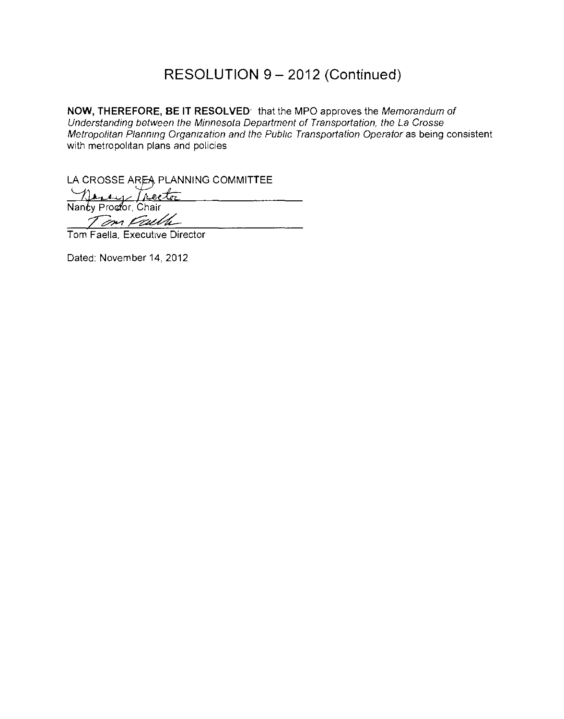## RESOLUTION 9 — 2012 (Continued)

**NOW, THEREFORE, BE IT RESOLVED.** that the MPO approves the Memorandum of Understanding between the Minnesota Department of Transportation, the La Crosse Metropolitan Planning Organization and the Public Transportation Operator as being consistent with metropolitan plans and policies

LA CROSSE AREA PLANNING COMMITTEE

 $\angle$  Tree Nancy Proctor, Chair Tom Faelle

Tom Faella, Executive Director

Dated: November 14, 2012